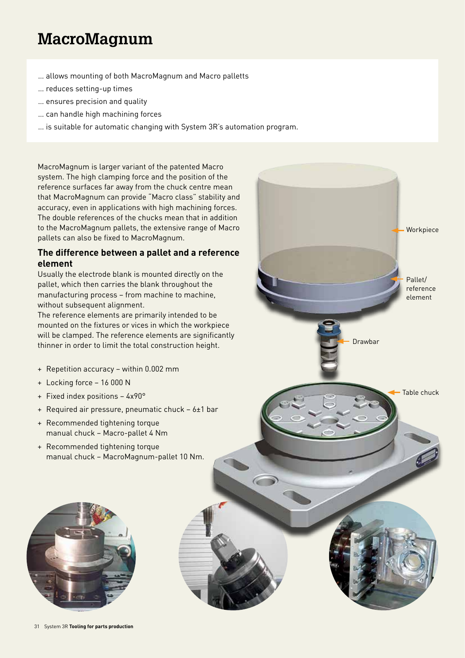# **MacroMagnum**

- … allows mounting of both MacroMagnum and Macro palletts
- … reduces setting-up times
- … ensures precision and quality
- … can handle high machining forces
- … is suitable for automatic changing with System 3R's automation program.

MacroMagnum is larger variant of the patented Macro system. The high clamping force and the position of the reference surfaces far away from the chuck centre mean that MacroMagnum can provide "Macro class" stability and accuracy, even in applications with high machining forces. The double references of the chucks mean that in addition to the MacroMagnum pallets, the extensive range of Macro pallets can also be fixed to MacroMagnum.

### **The difference between a pallet and a reference element**

Usually the electrode blank is mounted directly on the pallet, which then carries the blank throughout the manufacturing process - from machine to machine, without subsequent alignment.

The reference elements are primarily intended to be mounted on the fixtures or vices in which the workpiece will be clamped. The reference elements are significantly thinner in order to limit the total construction height.

- + Repetition accuracy within 0.002 mm
- + Locking force 16 000 N
- + Fixed index positions 4x90°
- + Required air pressure, pneumatic chuck 6±1 bar
- + Recommended tightening torque manual chuck – Macro-pallet 4 Nm
- + Recommended tightening torque manual chuck – MacroMagnum-pallet 10 Nm.



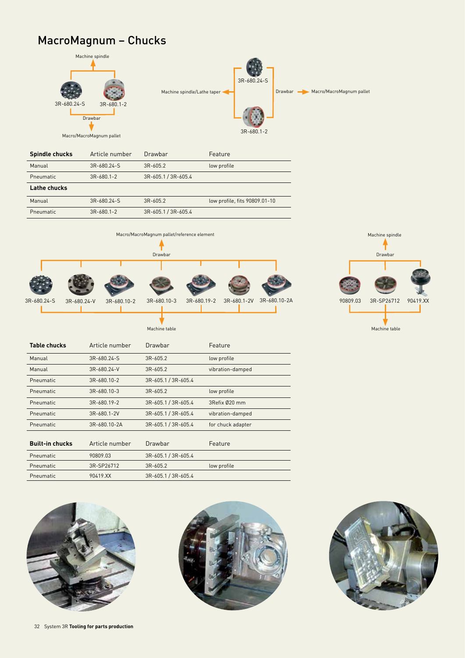# MacroMagnum – Chucks



| manual                 | 3K-68U.Z4-5    | $3K-6UB. Z$         | tow profile       |
|------------------------|----------------|---------------------|-------------------|
| Manual                 | 3R-680.24-V    | 3R-605.2            | vibration-damped  |
| Pneumatic              | 3R-680.10-2    | 3R-605.1 / 3R-605.4 |                   |
| Pneumatic              | $3R-680.10-3$  | $3R-605.2$          | low profile       |
| Pneumatic              | 3R-680.19-2    | 3R-605.1 / 3R-605.4 | 3Refix Ø20 mm     |
| Pneumatic              | 3R-680.1-2V    | 3R-605.1 / 3R-605.4 | vibration-damped  |
| Pneumatic              | 3R-680.10-2A   | 3R-605.1 / 3R-605.4 | for chuck adapter |
|                        |                |                     |                   |
| <b>Built-in chucks</b> | Article number | Drawbar             | Feature           |
| Pneumatic              | 90809.03       | 3R-605.1 / 3R-605.4 |                   |
| Pneumatic              | 3R-SP26712     | 3R-605.2            | low profile       |
| Pneumatic              | 90419.XX       | 3R-605.1 / 3R-605.4 |                   |

![](_page_1_Picture_3.jpeg)

![](_page_1_Picture_4.jpeg)

 $\overline{a}$  $\overline{a}$ 

![](_page_1_Picture_5.jpeg)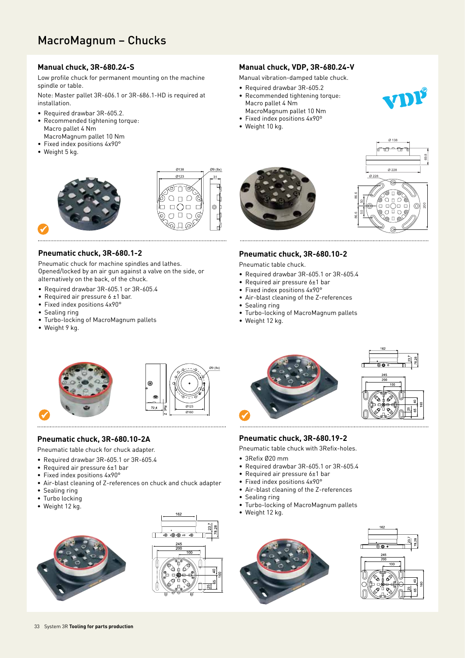# MacroMagnum – Chucks

#### **Manual chuck, 3R-680.24-S**

Low profile chuck for permanent mounting on the machine spindle or table.

Note: Master pallet 3R-606.1 or 3R-686.1-HD is required at installation.

- Required drawbar 3R-605.2.
- Recommended tightening torque: Macro pallet 4 Nm MacroMagnum pallet 10 Nm
- Fixed index positions 4x90°
- Weight 5 kg.

![](_page_2_Picture_8.jpeg)

![](_page_2_Picture_9.jpeg)

#### **Pneumatic chuck, 3R-680.1-2**

Pneumatic chuck for machine spindles and lathes. Opened/locked by an air gun against a valve on the side, or alternatively on the back, of the chuck.

- Required drawbar 3R-605.1 or 3R-605.4
- Required air pressure 6 ±1 bar.
- Fixed index positions 4x90°
- Sealing ring
- Turbo-locking of MacroMagnum pallets
- Weight 9 kg.

![](_page_2_Picture_18.jpeg)

### **Pneumatic chuck, 3R-680.10-2A**

- Pneumatic table chuck for chuck adapter.
- Required drawbar 3R-605.1 or 3R-605.4
- Required air pressure 6±1 bar
- Fixed index positions 4x90°
- Air-blast cleaning of Z-references on chuck and chuck adapter
- Sealing ring
- Turbo locking
- Weight 12 kg.

![](_page_2_Picture_28.jpeg)

![](_page_2_Figure_29.jpeg)

### **Manual chuck, VDP, 3R-680.24-V** Manual vibration-damped table chuck.

- Required drawbar 3R-605.2
- Recommended tightening torque: Macro pallet 4 Nm
- MacroMagnum pallet 10 Nm • Fixed index positions 4x90º
- Weight 10 kg.
- 

![](_page_2_Picture_36.jpeg)

### **Pneumatic chuck, 3R-680.10-2**

Pneumatic table chuck.

- Required drawbar 3R-605.1 or 3R-605.4
- Required air pressure 6±1 bar
- Fixed index positions 4x90°
- Air-blast cleaning of the Z-references
- Sealing ring
- Turbo-locking of MacroMagnum pallets
- Weight 12 kg.

![](_page_2_Picture_46.jpeg)

![](_page_2_Picture_47.jpeg)

Pneumatic table chuck with 3Refix-holes.

- 3Refix Ø20 mm
- Required drawbar 3R-605.1 or 3R-605.4
- Required air pressure 6±1 bar
- Fixed index positions 4x90°
- Air-blast cleaning of the Z-references
- Sealing ring
- Turbo-locking of MacroMagnum pallets
- Weight 12 kg.

![](_page_2_Picture_57.jpeg)

![](_page_2_Picture_58.jpeg)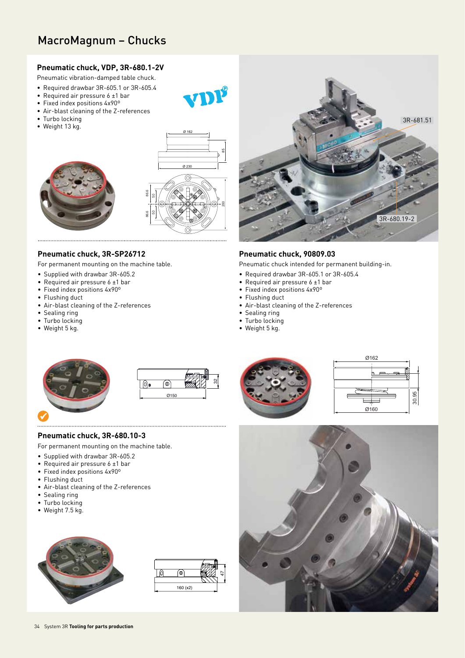# MacroMagnum – Chucks

#### **Pneumatic chuck, VDP, 3R-680.1-2V**

- Pneumatic vibration-damped table chuck.
- Required drawbar 3R-605.1 or 3R-605.4
- Required air pressure 6 ±1 bar
- Fixed index positions 4x90º
- Air-blast cleaning of the Z-references
- Turbo locking
- Weight 13 kg.

![](_page_3_Figure_9.jpeg)

#### **Pneumatic chuck, 3R-SP26712**

For permanent mounting on the machine table.

- Supplied with drawbar 3R-605.2
- Required air pressure 6 ±1 bar
- Fixed index positions 4x90º
- Flushing duct

- Air-blast cleaning of the Z-references
- Sealing ring
- Turbo locking
- Weight 5 kg.

#### **Pneumatic chuck, 90809.03**

Pneumatic chuck intended for permanent building-in.

- Required drawbar 3R-605.1 or 3R-605.4
- Required air pressure 6 ±1 bar
- Fixed index positions 4x90º
- Flushing duct
- Air-blast cleaning of the Z-references
- Sealing ring
- Turbo locking
- Weight 5 kg.

![](_page_3_Picture_30.jpeg)

![](_page_3_Figure_31.jpeg)

![](_page_3_Picture_32.jpeg)

![](_page_3_Figure_33.jpeg)

3R-681.51

3R-680.19-2

![](_page_3_Picture_34.jpeg)

![](_page_3_Figure_36.jpeg)

![](_page_3_Picture_37.jpeg)

#### **Pneumatic chuck, 3R-680.10-3**

For permanent mounting on the machine table.

- Supplied with drawbar 3R-605.2
- Required air pressure 6 ±1 bar
- Fixed index positions 4x90º
- Flushing duct
- Air-blast cleaning of the Z-references
- Sealing ring
- Turbo locking
- Weight 7.5 kg.

![](_page_3_Picture_49.jpeg)

![](_page_3_Picture_50.jpeg)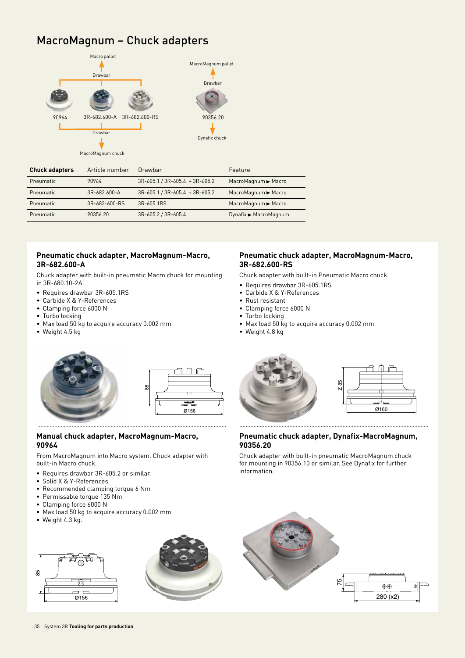### MacroMagnum – Chuck adapters

![](_page_4_Figure_1.jpeg)

MacroMagnum chuck

| <b>Chuck adapters</b> | Article number | Drawbar                          | Feature               |
|-----------------------|----------------|----------------------------------|-----------------------|
| Pneumatic             | 90964          | $3R-605.1 / 3R-605.4 + 3R-605.2$ | MacroMagnum > Macro   |
| Pneumatic             | 3R-682.600-A   | $3R-605.1 / 3R-605.4 + 3R-605.2$ | MacroMagnum > Macro   |
| Pneumatic             | 3R-682-600-RS  | 3R-605.1RS                       | MacroMagnum > Macro   |
| Pneumatic             | 90356.20       | 3R-605.2 / 3R-605.4              | Dynafix ► MacroMagnum |

#### **Pneumatic chuck adapter, MacroMagnum-Macro, 3R-682.600-A**

Chuck adapter with built-in pneumatic Macro chuck for mounting in 3R-680.10-2A.

- Requires drawbar 3R-605.1RS
- Carbide X & Y-References
- Clamping force 6000 N
- Turbo locking
- Max load 50 kg to acquire accuracy 0.002 mm
- Weight 4.5 kg

![](_page_4_Figure_12.jpeg)

#### **Manual chuck adapter, MacroMagnum-Macro, 90964**

From MacroMagnum into Macro system. Chuck adapter with built-in Macro chuck.

- Requires drawbar 3R-605.2 or similar.
- Solid X & Y-References
- Recommended clamping torque 6 Nm
- Permissable torque 135 Nm
- Clamping force 6000 N
- Max load 50 kg to acquire accuracy 0.002 mm
- Weight 4.3 kg.

![](_page_4_Figure_22.jpeg)

![](_page_4_Picture_23.jpeg)

#### **Pneumatic chuck adapter, MacroMagnum-Macro, 3R-682.600-RS**

Chuck adapter with built-in Pneumatic Macro chuck.

- Requires drawbar 3R-605.1RS
- Carbide X & Y-References
- Rust resistant
	- Clamping force 6000 N
	- Turbo locking
	- Max load 50 kg to acquire accuracy 0.002 mm
	- Weight 4.8 kg

![](_page_4_Figure_33.jpeg)

#### **Pneumatic chuck adapter, Dynafix-MacroMagnum, 90356.20**

Chuck adapter with built-in pneumatic MacroMagnum chuck for mounting in 90356.10 or similar. See Dynafix for further information.

![](_page_4_Picture_36.jpeg)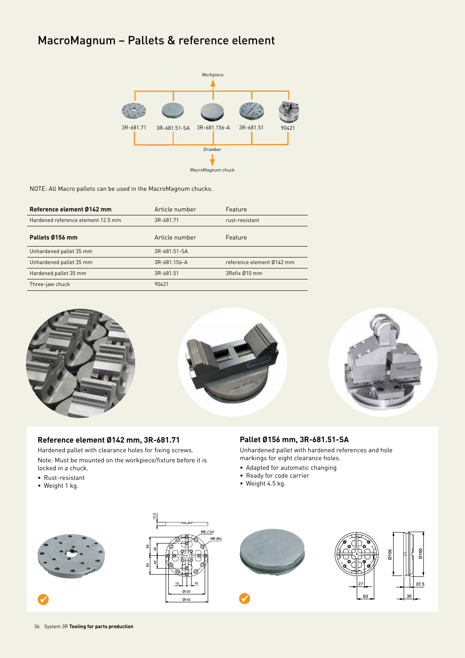# MacroMagnum – Pallets & reference element

![](_page_5_Figure_1.jpeg)

NOTE: All Macro pallets can be used in the MacroMagnum chucks.

| Reference element Ø142 mm          | Article number | Feature                   |
|------------------------------------|----------------|---------------------------|
| Hardened reference element 12.5 mm | 3R-681.71      | rust-resistant            |
| Pallets Ø156 mm                    | Article number | Feature                   |
| Unhardened pallet 35 mm            | 3R-681.51-SA   |                           |
| Unhardened pallet 35 mm            | 3R-681.156-A   | reference element Ø142 mm |
| Hardened pallet 35 mm              | 3R-681.51      | 3Refix Ø10 mm             |
| Three-jaw chuck                    | 90421          |                           |

![](_page_5_Picture_4.jpeg)

#### **Reference element Ø142 mm, 3R-681.71**

Hardened pallet with clearance holes for fixing screws. Note: Must be mounted on the workpiece/fixture before it is locked in a chuck.

- Rust-resistant
- Weight 1 kg.

# **Pallet Ø156 mm, 3R-681.51-SA**

Unhardened pallet with hardened references and hole markings for eight clearance holes.

- Adapted for automatic changing
- Ready for code carrier
- Weight 4.5 kg.

![](_page_5_Picture_14.jpeg)

![](_page_5_Picture_15.jpeg)

![](_page_5_Picture_17.jpeg)

 $22.5$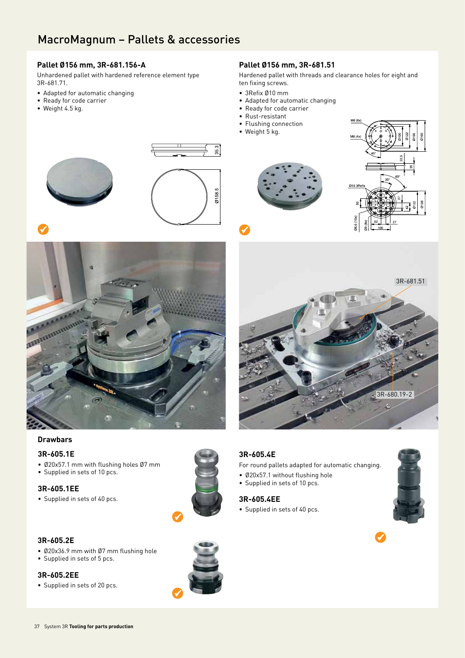## MacroMagnum – Pallets & accessories

#### **Pallet Ø156 mm, 3R-681.156-A**

Unhardened pallet with hardened reference element type 3R-681.71.

- Adapted for automatic changing
- Ready for code carrier
- Weight 4.5 kg.

![](_page_6_Picture_6.jpeg)

![](_page_6_Picture_7.jpeg)

#### **Pallet Ø156 mm, 3R-681.51**

Hardened pallet with threads and clearance holes for eight and ten fixing screws.

- 3Refix Ø10 mm
- Adapted for automatic changing
- Ready for code carrier
- Rust-resistant
- Flushing connection
- Weight 5 kg.

![](_page_6_Picture_16.jpeg)

![](_page_6_Figure_17.jpeg)

![](_page_6_Picture_18.jpeg)

#### **Drawbars**

#### **3R-605.1E**

- Ø20x57.1 mm with flushing holes Ø7 mm
- Supplied in sets of 10 pcs.
- **3R-605.1EE**
- Supplied in sets of 40 pcs.

![](_page_6_Picture_25.jpeg)

### **3R-605.4E**

For round pallets adapted for automatic changing.

- Ø20x57.1 without flushing hole
- Supplied in sets of 10 pcs.

#### **3R-605.4EE**

• Supplied in sets of 40 pcs.

![](_page_6_Picture_32.jpeg)

 $\checkmark$ 

#### **3R-605.2E**

- Ø20x36.9 mm with Ø7 mm flushing hole
- Supplied in sets of 5 pcs.

#### **3R-605.2EE**

• Supplied in sets of 20 pcs.

![](_page_6_Picture_38.jpeg)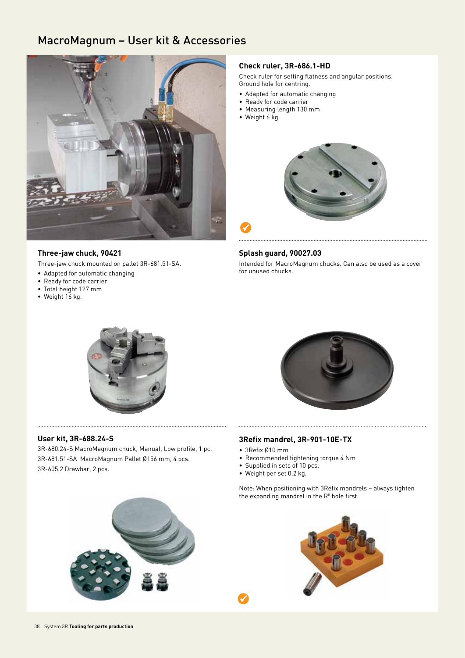### MacroMagnum – User kit & Accessories

![](_page_7_Picture_1.jpeg)

#### **Three-jaw chuck, 90421**

Three-jaw chuck mounted on pallet 3R-681.51-SA.

- Adapted for automatic changing
- Ready for code carrier
- Total height 127 mm
- Weight 16 kg.

#### **Check ruler, 3R-686.1-HD**

Check ruler for setting flatness and angular positions. Ground hole for centring.

- Adapted for automatic changing
- Ready for code carrier
- Measuring length 130 mm
- Weight 6 kg.

 $\checkmark$ 

![](_page_7_Picture_14.jpeg)

#### **Splash guard, 90027.03**

Intended for MacroMagnum chucks. Can also be used as a cover for unused chucks.

![](_page_7_Picture_17.jpeg)

#### **User kit, 3R-688.24-S**

3R-680.24-S MacroMagnum chuck, Manual, Low profile, 1 pc. 3R-681.51-SA MacroMagnum Pallet Ø156 mm, 4 pcs. 3R-605.2 Drawbar, 2 pcs.

![](_page_7_Picture_20.jpeg)

#### **3Refix mandrel, 3R-901-10E-TX**

• 3Refix Ø10 mm

 $\checkmark$ 

- Recommended tightening torque 4 Nm
- Supplied in sets of 10 pcs.
- Weight per set 0.2 kg.

Note: When positioning with 3Refix mandrels – always tighten the expanding mandrel in the  $R<sup>0</sup>$  hole first.

![](_page_7_Picture_27.jpeg)

![](_page_7_Picture_28.jpeg)